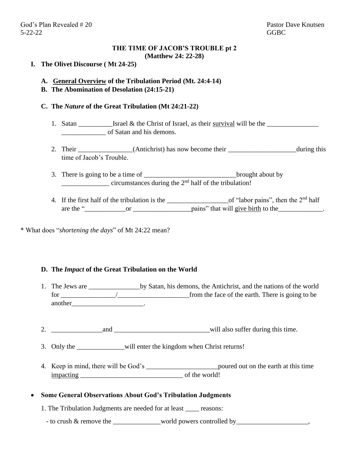God's Plan Revealed # 20 Pastor Dave Knutsen 5-22-22 GGBC

# **THE TIME OF JACOB'S TROUBLE pt 2 (Matthew 24: 22-28)**

## **I. The Olivet Discourse ( Mt 24-25)**

## **A. General Overview of the Tribulation Period (Mt. 24:4-14)**

**B. The Abomination of Desolation (24:15-21)**

## **C. The** *Nature* **of the Great Tribulation (Mt 24:21-22)**

- 1. Satan  $\frac{1}{\sqrt{2}}$  Israel & the Christ of Israel, as their survival will be the  $\frac{1}{\sqrt{2}}$ of Satan and his demons.
- 2. Their \_\_\_\_\_\_\_\_\_\_\_\_(Antichrist) has now become their \_\_\_\_\_\_\_\_\_\_\_\_\_\_\_\_\_\_\_during this time of Jacob's Trouble.
- 3. There is going to be a time of \_\_\_\_\_\_\_\_\_\_\_\_\_\_\_\_\_\_\_\_\_\_\_\_\_\_\_\_\_\_\_\_\_\_brought about by circumstances during the  $2<sup>nd</sup>$  half of the tribulation!
- 4. If the first half of the tribulation is the \_\_\_\_\_\_\_\_\_\_\_\_\_\_\_\_\_\_\_\_\_\_\_\_\_of "labor pains", then the 2<sup>nd</sup> half are the "\_\_\_\_\_\_\_\_\_\_\_\_or \_\_\_\_\_\_\_\_\_\_\_\_\_\_\_\_\_pains" that will give birth to the\_\_\_\_\_\_\_\_\_\_\_\_\_.

\* What does "*shortening the days*" of Mt 24:22 mean?

#### **D. The** *Impact* **of the Great Tribulation on the World**

- 1. The Jews are by Satan, his demons, the Antichrist, and the nations of the world for the face of the earth. There is going to be from the face of the earth. There is going to be another\_\_\_\_\_\_\_\_\_\_\_\_\_\_\_\_\_\_\_\_\_\_\_\_\_\_\_\_\_.
- 2. and and  $\omega$  and  $\omega$  and  $\omega$  and  $\omega$  and  $\omega$  and  $\omega$  and  $\omega$  and  $\omega$  and  $\omega$  and  $\omega$  and  $\omega$  and  $\omega$  and  $\omega$  and  $\omega$  and  $\omega$  and  $\omega$  and  $\omega$  and  $\omega$  and  $\omega$  and  $\omega$  and  $\omega$  and  $\omega$  and  $\omega$  and  $\omega$
- 3. Only the \_\_\_\_\_\_\_\_\_\_\_\_\_\_will enter the kingdom when Christ returns!
- 4. Keep in mind, there will be God's \_\_\_\_\_\_\_\_\_\_\_\_\_\_\_\_\_\_\_\_\_\_\_\_\_\_\_\_\_\_\_\_\_\_\_poured out on the earth at this time impacting \_\_\_\_\_\_\_\_\_\_\_\_\_\_\_\_\_\_\_\_\_\_\_\_\_\_\_\_\_\_ of the world!

#### • **Some General Observations About God's Tribulation Judgments**

1. The Tribulation Judgments are needed for at least \_\_\_\_ reasons:

- to crush & remove the world powers controlled by